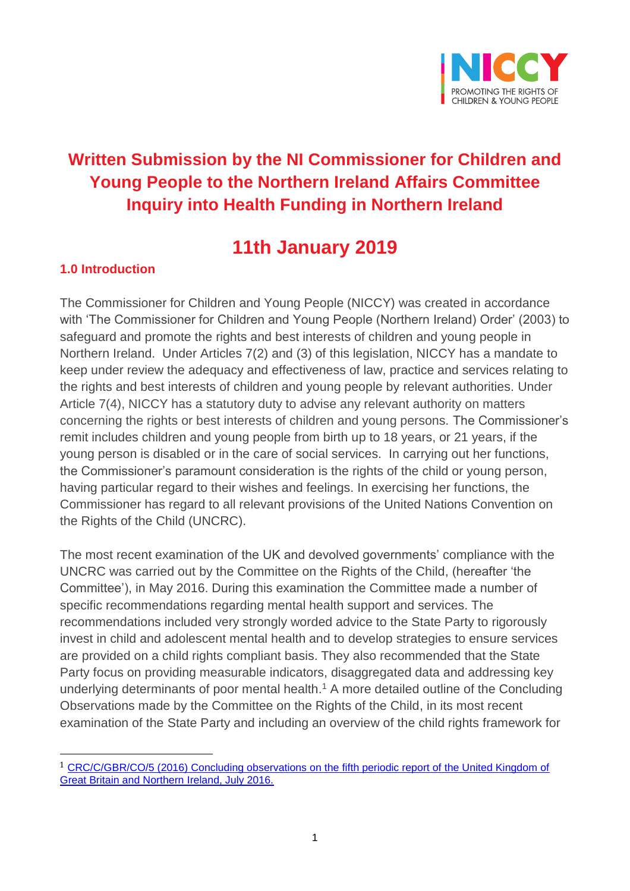

## **Written Submission by the NI Commissioner for Children and Young People to the Northern Ireland Affairs Committee Inquiry into Health Funding in Northern Ireland**

# **11th January 2019**

## **1.0 Introduction**

 $\overline{a}$ 

The Commissioner for Children and Young People (NICCY) was created in accordance with 'The Commissioner for Children and Young People (Northern Ireland) Order' (2003) to safeguard and promote the rights and best interests of children and young people in Northern Ireland. Under Articles 7(2) and (3) of this legislation, NICCY has a mandate to keep under review the adequacy and effectiveness of law, practice and services relating to the rights and best interests of children and young people by relevant authorities. Under Article 7(4), NICCY has a statutory duty to advise any relevant authority on matters concerning the rights or best interests of children and young persons. The Commissioner's remit includes children and young people from birth up to 18 years, or 21 years, if the young person is disabled or in the care of social services. In carrying out her functions, the Commissioner's paramount consideration is the rights of the child or young person, having particular regard to their wishes and feelings. In exercising her functions, the Commissioner has regard to all relevant provisions of the United Nations Convention on the Rights of the Child (UNCRC).

The most recent examination of the UK and devolved governments' compliance with the UNCRC was carried out by the Committee on the Rights of the Child, (hereafter 'the Committee'), in May 2016. During this examination the Committee made a number of specific recommendations regarding mental health support and services. The recommendations included very strongly worded advice to the State Party to rigorously invest in child and adolescent mental health and to develop strategies to ensure services are provided on a child rights compliant basis. They also recommended that the State Party focus on providing measurable indicators, disaggregated data and addressing key underlying determinants of poor mental health. <sup>1</sup> A more detailed outline of the Concluding Observations made by the Committee on the Rights of the Child, in its most recent examination of the State Party and including an overview of the child rights framework for

<sup>1</sup> [CRC/C/GBR/CO/5 \(2016\) Concluding observations on the fifth periodic report of the United Kingdom of](https://tbinternet.ohchr.org/_layouts/treatybodyexternal/TBSearch.aspx?Lang=en&TreatyID=5&TreatyID=10&TreatyID=11&DocTypeID=5)  [Great Britain and Northern Ireland, July 2016.](https://tbinternet.ohchr.org/_layouts/treatybodyexternal/TBSearch.aspx?Lang=en&TreatyID=5&TreatyID=10&TreatyID=11&DocTypeID=5)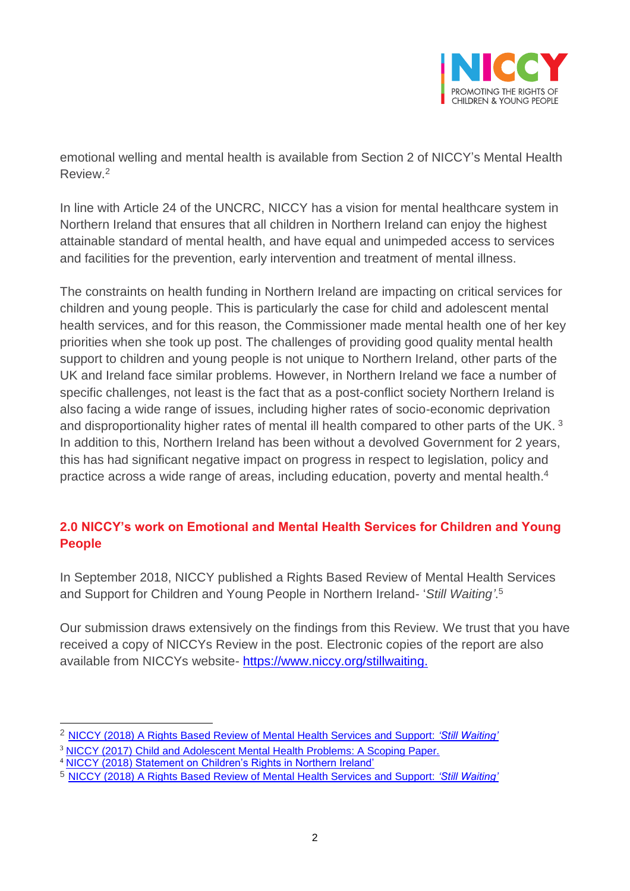

emotional welling and mental health is available from Section 2 of NICCY's Mental Health Review.<sup>2</sup>

In line with Article 24 of the UNCRC, NICCY has a vision for mental healthcare system in Northern Ireland that ensures that all children in Northern Ireland can enjoy the highest attainable standard of mental health, and have equal and unimpeded access to services and facilities for the prevention, early intervention and treatment of mental illness.

The constraints on health funding in Northern Ireland are impacting on critical services for children and young people. This is particularly the case for child and adolescent mental health services, and for this reason, the Commissioner made mental health one of her key priorities when she took up post. The challenges of providing good quality mental health support to children and young people is not unique to Northern Ireland, other parts of the UK and Ireland face similar problems. However, in Northern Ireland we face a number of specific challenges, not least is the fact that as a post-conflict society Northern Ireland is also facing a wide range of issues, including higher rates of socio-economic deprivation and disproportionality higher rates of mental ill health compared to other parts of the UK. <sup>3</sup> In addition to this, Northern Ireland has been without a devolved Government for 2 years, this has had significant negative impact on progress in respect to legislation, policy and practice across a wide range of areas, including education, poverty and mental health. 4

## **2.0 NICCY's work on Emotional and Mental Health Services for Children and Young People**

In September 2018, NICCY published a Rights Based Review of Mental Health Services and Support for Children and Young People in Northern Ireland- '*Still Waiting'*. 5

Our submission draws extensively on the findings from this Review. We trust that you have received a copy of NICCYs Review in the post. Electronic copies of the report are also available from NICCYs website- [https://www.niccy.org/stillwaiting.](https://www.niccy.org/stillwaiting)

<sup>2</sup> [NICCY \(2018\) A Rights Based Review of Mental Health Services and Support:](https://www.niccy.org/stillwaiting) *'Still Waiting'*

<sup>3</sup> [NICCY \(2017\) Child and Adolescent Mental Health Problems: A Scoping Paper.](https://www.niccy.org/media/3112/camhs-definitions_final.pdf)

<sup>4</sup> [NICCY \(2018\) Statement on Children's Rights in Northern Ireland'](https://www.niccy.org/about-us/our-current-work/statement-on-childrens-rights-in-northern-ireland/)

<sup>5</sup> [NICCY \(2018\) A Rights Based Review of Mental Health Services and Support:](https://www.niccy.org/stillwaiting) *'Still Waiting'*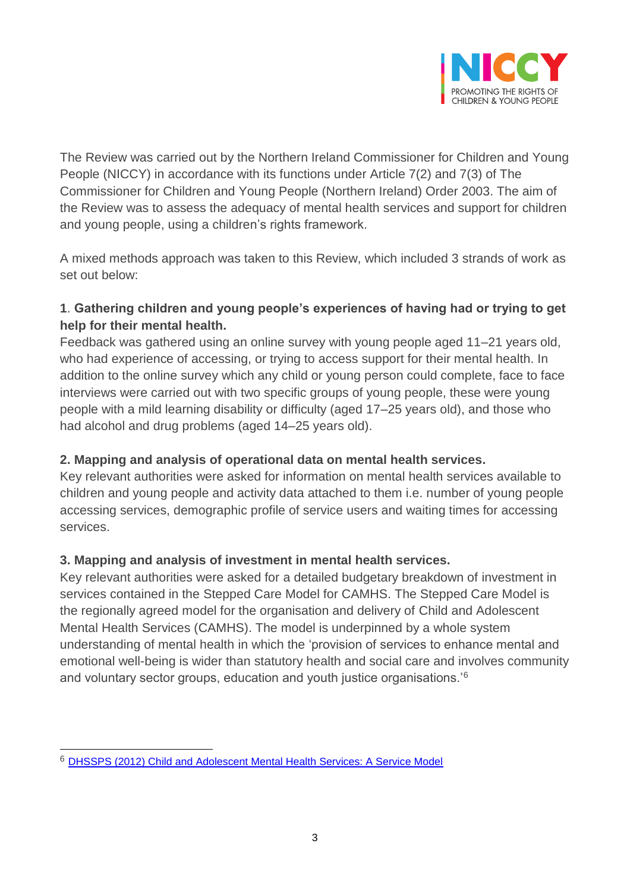

The Review was carried out by the Northern Ireland Commissioner for Children and Young People (NICCY) in accordance with its functions under Article 7(2) and 7(3) of The Commissioner for Children and Young People (Northern Ireland) Order 2003. The aim of the Review was to assess the adequacy of mental health services and support for children and young people, using a children's rights framework.

A mixed methods approach was taken to this Review, which included 3 strands of work as set out below:

## **1**. **Gathering children and young people's experiences of having had or trying to get help for their mental health.**

Feedback was gathered using an online survey with young people aged 11–21 years old, who had experience of accessing, or trying to access support for their mental health. In addition to the online survey which any child or young person could complete, face to face interviews were carried out with two specific groups of young people, these were young people with a mild learning disability or difficulty (aged 17–25 years old), and those who had alcohol and drug problems (aged 14–25 years old).

## **2. Mapping and analysis of operational data on mental health services.**

Key relevant authorities were asked for information on mental health services available to children and young people and activity data attached to them i.e. number of young people accessing services, demographic profile of service users and waiting times for accessing services.

#### **3. Mapping and analysis of investment in mental health services.**

Key relevant authorities were asked for a detailed budgetary breakdown of investment in services contained in the Stepped Care Model for CAMHS. The Stepped Care Model is the regionally agreed model for the organisation and delivery of Child and Adolescent Mental Health Services (CAMHS). The model is underpinned by a whole system understanding of mental health in which the 'provision of services to enhance mental and emotional well-being is wider than statutory health and social care and involves community and voluntary sector groups, education and youth justice organisations.'<sup>6</sup>

<sup>6</sup> [DHSSPS \(2012\) Child and Adolescent Mental Health Services: A Service Model](https://www.health-ni.gov.uk/publications/child-and-adolescent-mental-health-services-service-model-july-2012)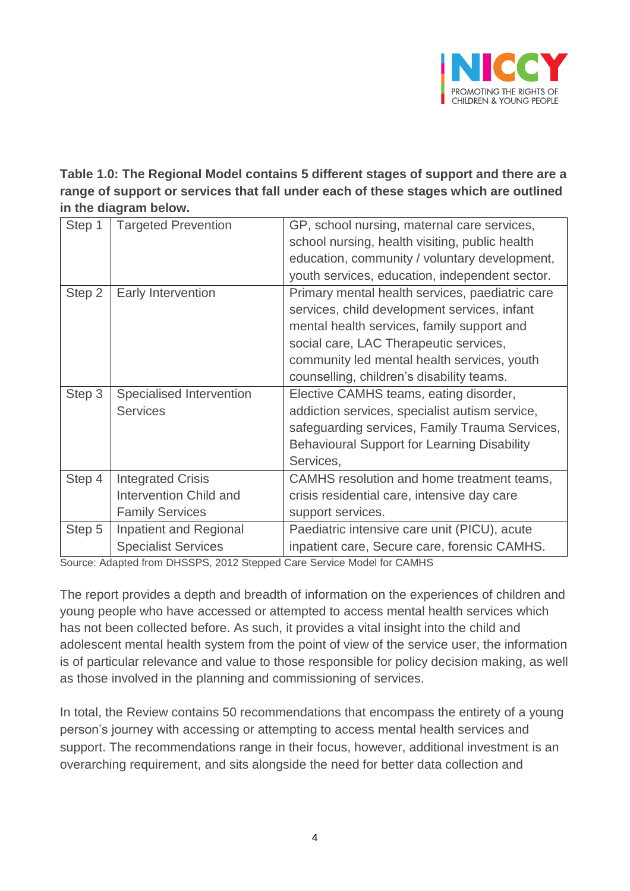

**Table 1.0: The Regional Model contains 5 different stages of support and there are a range of support or services that fall under each of these stages which are outlined in the diagram below.** 

| Step 1 | <b>Targeted Prevention</b>    | GP, school nursing, maternal care services,<br>school nursing, health visiting, public health<br>education, community / voluntary development,<br>youth services, education, independent sector. |
|--------|-------------------------------|--------------------------------------------------------------------------------------------------------------------------------------------------------------------------------------------------|
|        |                               |                                                                                                                                                                                                  |
| Step 2 | Early Intervention            | Primary mental health services, paediatric care                                                                                                                                                  |
|        |                               | services, child development services, infant                                                                                                                                                     |
|        |                               | mental health services, family support and                                                                                                                                                       |
|        |                               | social care, LAC Therapeutic services,                                                                                                                                                           |
|        |                               | community led mental health services, youth                                                                                                                                                      |
|        |                               | counselling, children's disability teams.                                                                                                                                                        |
| Step 3 | Specialised Intervention      | Elective CAMHS teams, eating disorder,                                                                                                                                                           |
|        | <b>Services</b>               | addiction services, specialist autism service,                                                                                                                                                   |
|        |                               | safeguarding services, Family Trauma Services,                                                                                                                                                   |
|        |                               | <b>Behavioural Support for Learning Disability</b>                                                                                                                                               |
|        |                               | Services,                                                                                                                                                                                        |
| Step 4 | <b>Integrated Crisis</b>      | CAMHS resolution and home treatment teams,                                                                                                                                                       |
|        | <b>Intervention Child and</b> | crisis residential care, intensive day care                                                                                                                                                      |
|        | <b>Family Services</b>        | support services.                                                                                                                                                                                |
| Step 5 | Inpatient and Regional        | Paediatric intensive care unit (PICU), acute                                                                                                                                                     |
|        | <b>Specialist Services</b>    | inpatient care, Secure care, forensic CAMHS.                                                                                                                                                     |

Source: Adapted from DHSSPS, 2012 Stepped Care Service Model for CAMHS

The report provides a depth and breadth of information on the experiences of children and young people who have accessed or attempted to access mental health services which has not been collected before. As such, it provides a vital insight into the child and adolescent mental health system from the point of view of the service user, the information is of particular relevance and value to those responsible for policy decision making, as well as those involved in the planning and commissioning of services.

In total, the Review contains 50 recommendations that encompass the entirety of a young person's journey with accessing or attempting to access mental health services and support. The recommendations range in their focus, however, additional investment is an overarching requirement, and sits alongside the need for better data collection and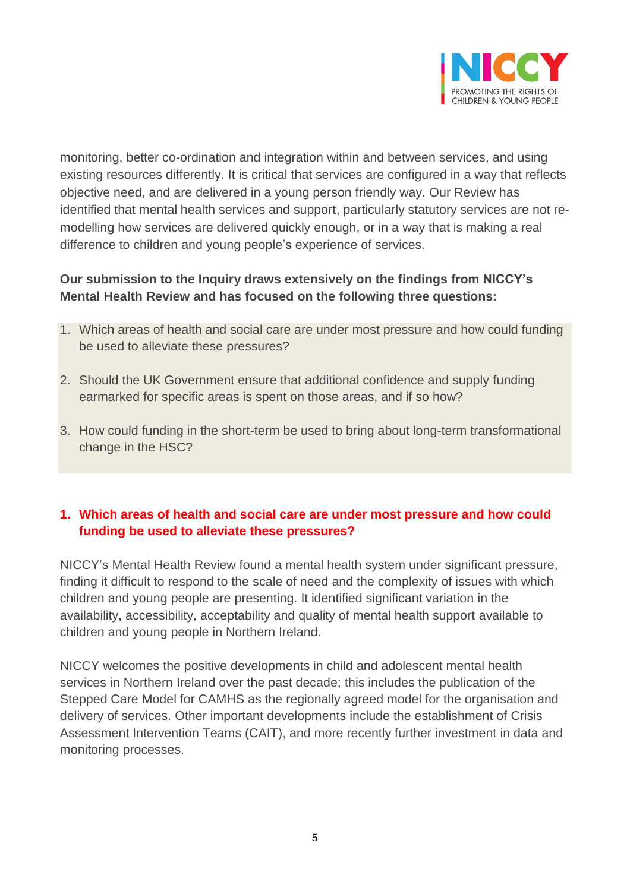

monitoring, better co-ordination and integration within and between services, and using existing resources differently. It is critical that services are configured in a way that reflects objective need, and are delivered in a young person friendly way. Our Review has identified that mental health services and support, particularly statutory services are not remodelling how services are delivered quickly enough, or in a way that is making a real difference to children and young people's experience of services.

#### **Our submission to the Inquiry draws extensively on the findings from NICCY's Mental Health Review and has focused on the following three questions:**

- 1. Which areas of health and social care are under most pressure and how could funding be used to alleviate these pressures?
- 2. Should the UK Government ensure that additional confidence and supply funding earmarked for specific areas is spent on those areas, and if so how?
- 3. How could funding in the short-term be used to bring about long-term transformational change in the HSC?

#### **1. Which areas of health and social care are under most pressure and how could funding be used to alleviate these pressures?**

NICCY's Mental Health Review found a mental health system under significant pressure, finding it difficult to respond to the scale of need and the complexity of issues with which children and young people are presenting. It identified significant variation in the availability, accessibility, acceptability and quality of mental health support available to children and young people in Northern Ireland.

NICCY welcomes the positive developments in child and adolescent mental health services in Northern Ireland over the past decade; this includes the publication of the Stepped Care Model for CAMHS as the regionally agreed model for the organisation and delivery of services. Other important developments include the establishment of Crisis Assessment Intervention Teams (CAIT), and more recently further investment in data and monitoring processes.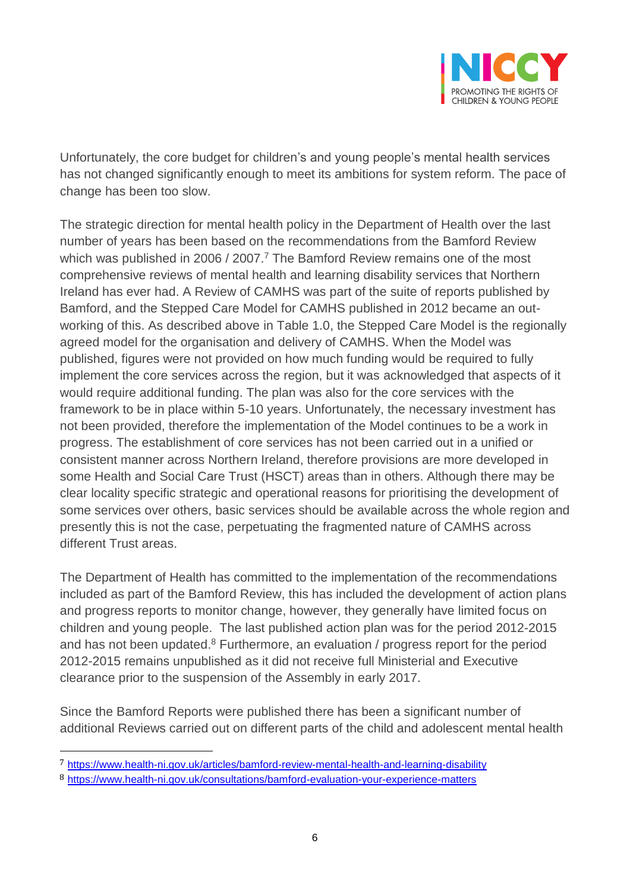

Unfortunately, the core budget for children's and young people's mental health services has not changed significantly enough to meet its ambitions for system reform. The pace of change has been too slow.

The strategic direction for mental health policy in the Department of Health over the last number of years has been based on the recommendations from the Bamford Review which was published in 2006 / 2007.<sup>7</sup> The Bamford Review remains one of the most comprehensive reviews of mental health and learning disability services that Northern Ireland has ever had. A Review of CAMHS was part of the suite of reports published by Bamford, and the Stepped Care Model for CAMHS published in 2012 became an outworking of this. As described above in Table 1.0, the Stepped Care Model is the regionally agreed model for the organisation and delivery of CAMHS. When the Model was published, figures were not provided on how much funding would be required to fully implement the core services across the region, but it was acknowledged that aspects of it would require additional funding. The plan was also for the core services with the framework to be in place within 5-10 years. Unfortunately, the necessary investment has not been provided, therefore the implementation of the Model continues to be a work in progress. The establishment of core services has not been carried out in a unified or consistent manner across Northern Ireland, therefore provisions are more developed in some Health and Social Care Trust (HSCT) areas than in others. Although there may be clear locality specific strategic and operational reasons for prioritising the development of some services over others, basic services should be available across the whole region and presently this is not the case, perpetuating the fragmented nature of CAMHS across different Trust areas.

The Department of Health has committed to the implementation of the recommendations included as part of the Bamford Review, this has included the development of action plans and progress reports to monitor change, however, they generally have limited focus on children and young people. The last published action plan was for the period 2012-2015 and has not been updated.<sup>8</sup> Furthermore, an evaluation / progress report for the period 2012-2015 remains unpublished as it did not receive full Ministerial and Executive clearance prior to the suspension of the Assembly in early 2017.

Since the Bamford Reports were published there has been a significant number of additional Reviews carried out on different parts of the child and adolescent mental health

<sup>7</sup> https://www.health-ni.gov.uk/articles/bamford-review-mental-health-and-learning-disability

<sup>8</sup> <https://www.health-ni.gov.uk/consultations/bamford-evaluation-your-experience-matters>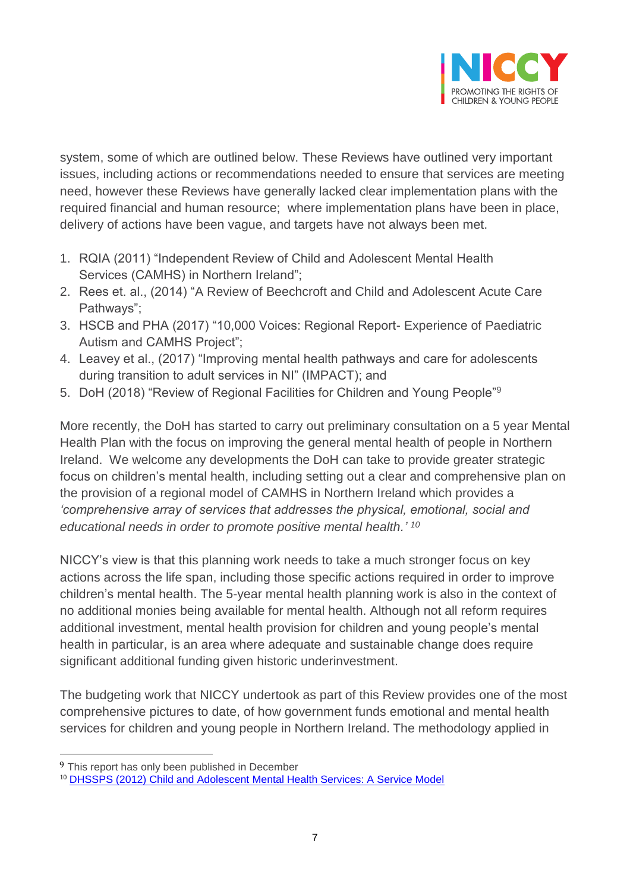

system, some of which are outlined below. These Reviews have outlined very important issues, including actions or recommendations needed to ensure that services are meeting need, however these Reviews have generally lacked clear implementation plans with the required financial and human resource; where implementation plans have been in place, delivery of actions have been vague, and targets have not always been met.

- 1. RQIA (2011) "Independent Review of Child and Adolescent Mental Health Services (CAMHS) in Northern Ireland";
- 2. Rees et. al., (2014) "A Review of Beechcroft and Child and Adolescent Acute Care Pathways";
- 3. HSCB and PHA (2017) "10,000 Voices: Regional Report- Experience of Paediatric Autism and CAMHS Project";
- 4. Leavey et al., (2017) "Improving mental health pathways and care for adolescents during transition to adult services in NI" (IMPACT); and
- 5. DoH (2018) "Review of Regional Facilities for Children and Young People"<sup>9</sup>

More recently, the DoH has started to carry out preliminary consultation on a 5 year Mental Health Plan with the focus on improving the general mental health of people in Northern Ireland. We welcome any developments the DoH can take to provide greater strategic focus on children's mental health, including setting out a clear and comprehensive plan on the provision of a regional model of CAMHS in Northern Ireland which provides a *'comprehensive array of services that addresses the physical, emotional, social and educational needs in order to promote positive mental health.' 10*

NICCY's view is that this planning work needs to take a much stronger focus on key actions across the life span, including those specific actions required in order to improve children's mental health. The 5-year mental health planning work is also in the context of no additional monies being available for mental health. Although not all reform requires additional investment, mental health provision for children and young people's mental health in particular, is an area where adequate and sustainable change does require significant additional funding given historic underinvestment.

The budgeting work that NICCY undertook as part of this Review provides one of the most comprehensive pictures to date, of how government funds emotional and mental health services for children and young people in Northern Ireland. The methodology applied in

<sup>&</sup>lt;sup>9</sup> This report has only been published in December

<sup>10</sup> [DHSSPS \(2012\) Child and Adolescent Mental Health Services: A Service Model](https://www.health-ni.gov.uk/publications/bamford-published-reports)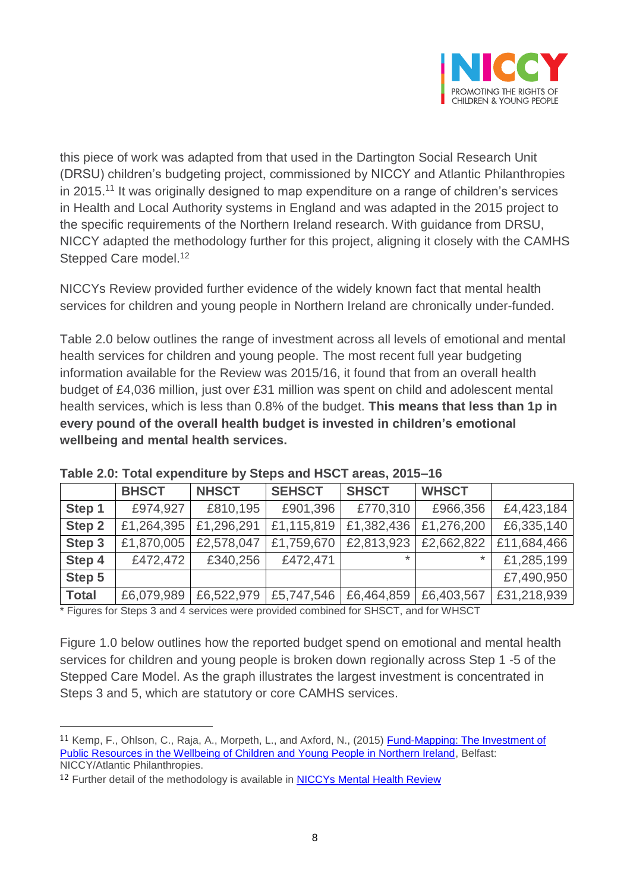

this piece of work was adapted from that used in the Dartington Social Research Unit (DRSU) children's budgeting project, commissioned by NICCY and Atlantic Philanthropies in 2015.<sup>11</sup> It was originally designed to map expenditure on a range of children's services in Health and Local Authority systems in England and was adapted in the 2015 project to the specific requirements of the Northern Ireland research. With guidance from DRSU, NICCY adapted the methodology further for this project, aligning it closely with the CAMHS Stepped Care model.<sup>12</sup>

NICCYs Review provided further evidence of the widely known fact that mental health services for children and young people in Northern Ireland are chronically under-funded.

Table 2.0 below outlines the range of investment across all levels of emotional and mental health services for children and young people. The most recent full year budgeting information available for the Review was 2015/16, it found that from an overall health budget of £4,036 million, just over £31 million was spent on child and adolescent mental health services, which is less than 0.8% of the budget. **This means that less than 1p in every pound of the overall health budget is invested in children's emotional wellbeing and mental health services.** 

|              | <b>BHSCT</b> | <b>NHSCT</b> | <b>SEHSCT</b> | <b>SHSCT</b> | <b>WHSCT</b> |             |
|--------------|--------------|--------------|---------------|--------------|--------------|-------------|
| Step 1       | £974,927     | £810,195     | £901,396      | £770,310     | £966,356     | £4,423,184  |
| Step 2       | £1,264,395   | £1,296,291   | £1,115,819    | £1,382,436   | £1,276,200   | £6,335,140  |
| Step 3       | £1,870,005   | £2,578,047   | £1,759,670    | £2,813,923   | £2,662,822   | £11,684,466 |
| Step 4       | £472,472     | £340,256     | £472,471      | $\star$      | $\ast$       | £1,285,199  |
| Step 5       |              |              |               |              |              | £7,490,950  |
| <b>Total</b> | £6,079,989   | £6,522,979   | £5,747,546    | £6,464,859   | £6,403,567   | £31,218,939 |

**Table 2.0: Total expenditure by Steps and HSCT areas, 2015–16**

\* Figures for Steps 3 and 4 services were provided combined for SHSCT, and for WHSCT

Figure 1.0 below outlines how the reported budget spend on emotional and mental health services for children and young people is broken down regionally across Step 1 -5 of the Stepped Care Model. As the graph illustrates the largest investment is concentrated in Steps 3 and 5, which are statutory or core CAMHS services.

<sup>11</sup> Kemp, F., Ohlson, C., Raja, A., Morpeth, L., and Axford, N., (2015) Fund-Mapping: The Investment of [Public Resources in the Wellbeing of Children and Young People in Northern Ireland,](https://www.niccy.org/media/2265/niccy-analysis-of-public-expenditure-part-2.pdf) Belfast: NICCY/Atlantic Philanthropies.

<sup>&</sup>lt;sup>12</sup> Further detail of the methodology is available in **NICCYs Mental Health Review**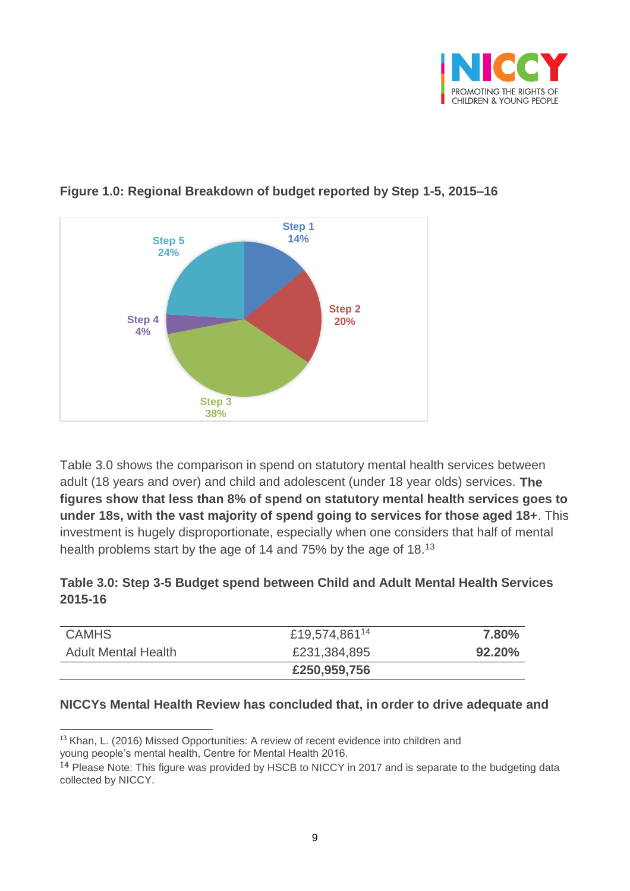



### **Figure 1.0: Regional Breakdown of budget reported by Step 1-5, 2015–16**

Table 3.0 shows the comparison in spend on statutory mental health services between adult (18 years and over) and child and adolescent (under 18 year olds) services. **The figures show that less than 8% of spend on statutory mental health services goes to under 18s, with the vast majority of spend going to services for those aged 18+**. This investment is hugely disproportionate, especially when one considers that half of mental health problems start by the age of 14 and 75% by the age of 18.<sup>13</sup>

#### **Table 3.0: Step 3-5 Budget spend between Child and Adult Mental Health Services 2015-16**

| <b>CAMHS</b>               | £19,574,861 <sup>14</sup> | 7.80%  |
|----------------------------|---------------------------|--------|
| <b>Adult Mental Health</b> | £231,384,895              | 92.20% |
|                            | £250,959,756              |        |

#### **NICCYs Mental Health Review has concluded that, in order to drive adequate and**

 $\overline{a}$ <sup>13</sup> Khan, L. (2016) Missed Opportunities: A review of recent evidence into children and young people's mental health, Centre for Mental Health 2016.

<sup>14</sup> Please Note: This figure was provided by HSCB to NICCY in 2017 and is separate to the budgeting data collected by NICCY.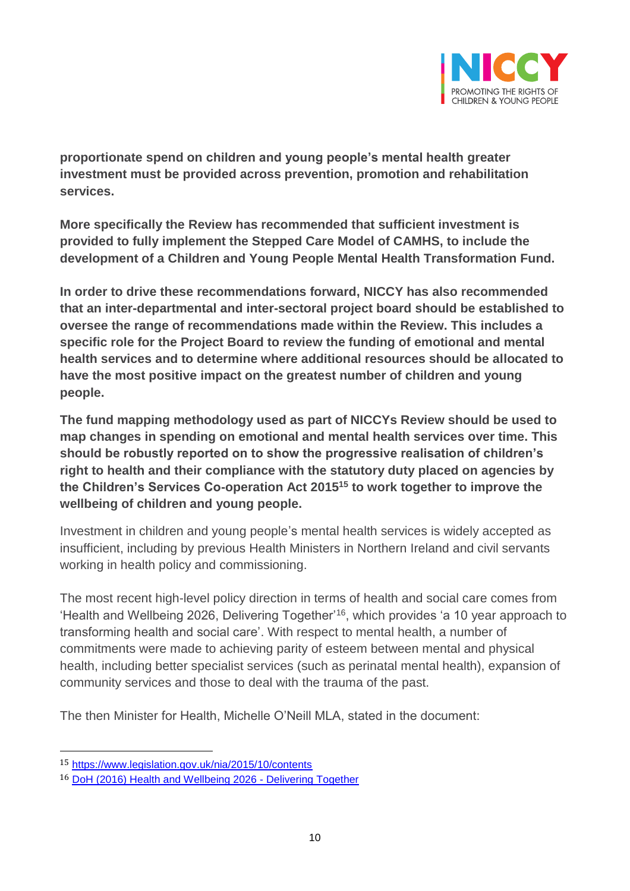

**proportionate spend on children and young people's mental health greater investment must be provided across prevention, promotion and rehabilitation services.** 

**More specifically the Review has recommended that sufficient investment is provided to fully implement the Stepped Care Model of CAMHS, to include the development of a Children and Young People Mental Health Transformation Fund.** 

**In order to drive these recommendations forward, NICCY has also recommended that an inter-departmental and inter-sectoral project board should be established to oversee the range of recommendations made within the Review. This includes a specific role for the Project Board to review the funding of emotional and mental health services and to determine where additional resources should be allocated to have the most positive impact on the greatest number of children and young people.** 

**The fund mapping methodology used as part of NICCYs Review should be used to map changes in spending on emotional and mental health services over time. This should be robustly reported on to show the progressive realisation of children's right to health and their compliance with the statutory duty placed on agencies by the Children's Services Co-operation Act 2015<sup>15</sup> to work together to improve the wellbeing of children and young people.**

Investment in children and young people's mental health services is widely accepted as insufficient, including by previous Health Ministers in Northern Ireland and civil servants working in health policy and commissioning.

The most recent high-level policy direction in terms of health and social care comes from 'Health and Wellbeing 2026, Delivering Together'<sup>16</sup>, which provides 'a 10 year approach to transforming health and social care'. With respect to mental health, a number of commitments were made to achieving parity of esteem between mental and physical health, including better specialist services (such as perinatal mental health), expansion of community services and those to deal with the trauma of the past.

The then Minister for Health, Michelle O'Neill MLA, stated in the document:

<sup>15</sup> <https://www.legislation.gov.uk/nia/2015/10/contents>

<sup>16</sup> [DoH \(2016\) Health and Wellbeing 2026 -](https://www.health-ni.gov.uk/publications/health-and-wellbeing-2026-delivering-together) Delivering Together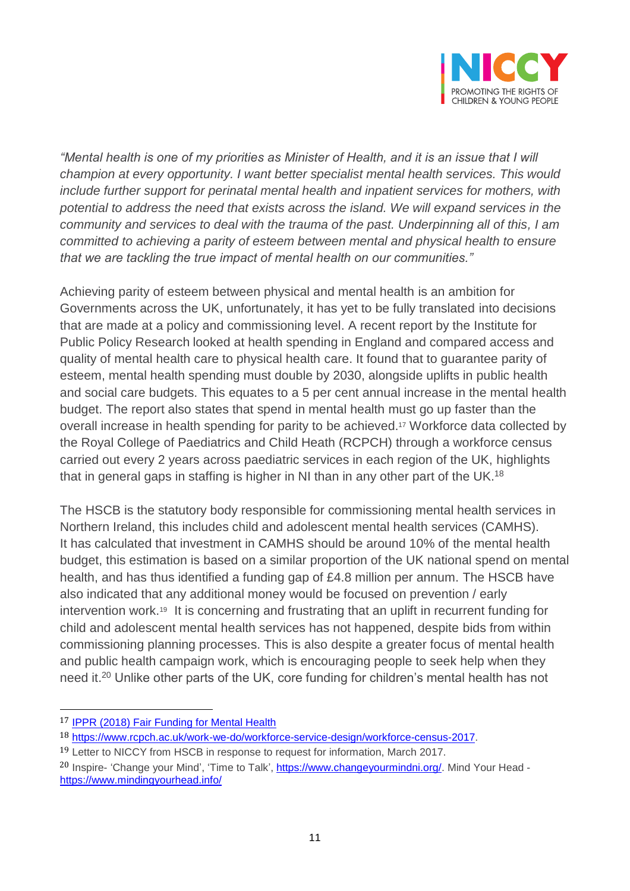

*"Mental health is one of my priorities as Minister of Health, and it is an issue that I will champion at every opportunity. I want better specialist mental health services. This would include further support for perinatal mental health and inpatient services for mothers, with potential to address the need that exists across the island. We will expand services in the community and services to deal with the trauma of the past. Underpinning all of this, I am committed to achieving a parity of esteem between mental and physical health to ensure that we are tackling the true impact of mental health on our communities."*

Achieving parity of esteem between physical and mental health is an ambition for Governments across the UK, unfortunately, it has yet to be fully translated into decisions that are made at a policy and commissioning level. A recent report by the Institute for Public Policy Research looked at health spending in England and compared access and quality of mental health care to physical health care. It found that to guarantee parity of esteem, mental health spending must double by 2030, alongside uplifts in public health and social care budgets. This equates to a 5 per cent annual increase in the mental health budget. The report also states that spend in mental health must go up faster than the overall increase in health spending for parity to be achieved. <sup>17</sup> Workforce data collected by the Royal College of Paediatrics and Child Heath (RCPCH) through a workforce census carried out every 2 years across paediatric services in each region of the UK, highlights that in general gaps in staffing is higher in NI than in any other part of the UK.<sup>18</sup>

The HSCB is the statutory body responsible for commissioning mental health services in Northern Ireland, this includes child and adolescent mental health services (CAMHS). It has calculated that investment in CAMHS should be around 10% of the mental health budget, this estimation is based on a similar proportion of the UK national spend on mental health, and has thus identified a funding gap of £4.8 million per annum. The HSCB have also indicated that any additional money would be focused on prevention / early intervention work.<sup>19</sup> It is concerning and frustrating that an uplift in recurrent funding for child and adolescent mental health services has not happened, despite bids from within commissioning planning processes. This is also despite a greater focus of mental health and public health campaign work, which is encouraging people to seek help when they need it. <sup>20</sup> Unlike other parts of the UK, core funding for children's mental health has not

<sup>17</sup> **[IPPR \(2018\) Fair Funding for Mental Health](https://www.ippr.org/research/publications/fair-funding-for-mental-health)** 

<sup>18</sup> [https://www.rcpch.ac.uk/work-we-do/workforce-service-design/workforce-census-2017.](https://www.rcpch.ac.uk/work-we-do/workforce-service-design/workforce-census-2017)

<sup>&</sup>lt;sup>19</sup> Letter to NICCY from HSCB in response to request for information, March 2017.

<sup>&</sup>lt;sup>20</sup> Inspire- 'Change your Mind', 'Time to Talk', [https://www.changeyourmindni.org/.](https://www.changeyourmindni.org/) Mind Your Head <https://www.mindingyourhead.info/>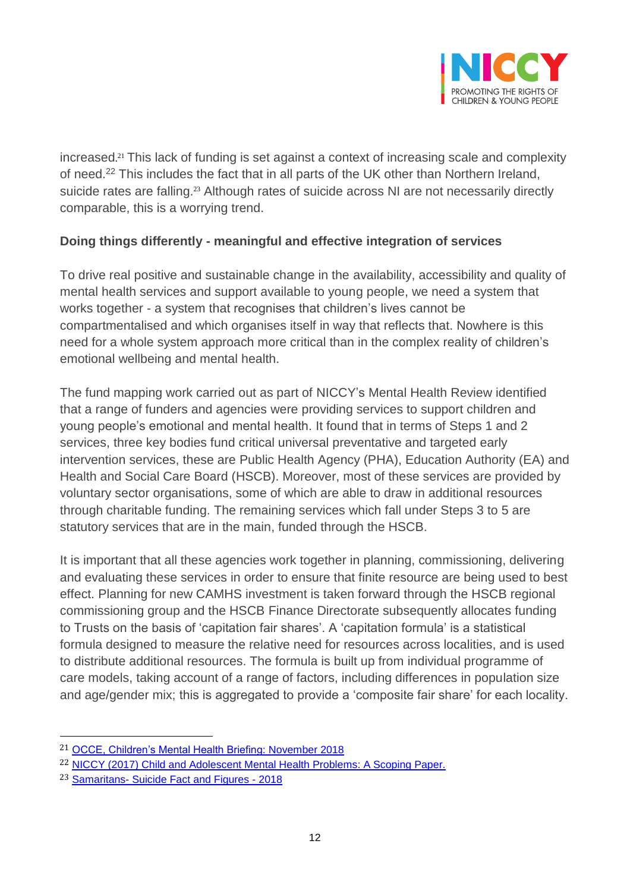

increased. <sup>21</sup> This lack of funding is set against a context of increasing scale and complexity of need.<sup>22</sup> This includes the fact that in all parts of the UK other than Northern Ireland, suicide rates are falling.<sup>23</sup> Although rates of suicide across NI are not necessarily directly comparable, this is a worrying trend.

#### **Doing things differently - meaningful and effective integration of services**

To drive real positive and sustainable change in the availability, accessibility and quality of mental health services and support available to young people, we need a system that works together - a system that recognises that children's lives cannot be compartmentalised and which organises itself in way that reflects that. Nowhere is this need for a whole system approach more critical than in the complex reality of children's emotional wellbeing and mental health.

The fund mapping work carried out as part of NICCY's Mental Health Review identified that a range of funders and agencies were providing services to support children and young people's emotional and mental health. It found that in terms of Steps 1 and 2 services, three key bodies fund critical universal preventative and targeted early intervention services, these are Public Health Agency (PHA), Education Authority (EA) and Health and Social Care Board (HSCB). Moreover, most of these services are provided by voluntary sector organisations, some of which are able to draw in additional resources through charitable funding. The remaining services which fall under Steps 3 to 5 are statutory services that are in the main, funded through the HSCB.

It is important that all these agencies work together in planning, commissioning, delivering and evaluating these services in order to ensure that finite resource are being used to best effect. Planning for new CAMHS investment is taken forward through the HSCB regional commissioning group and the HSCB Finance Directorate subsequently allocates funding to Trusts on the basis of 'capitation fair shares'. A 'capitation formula' is a statistical formula designed to measure the relative need for resources across localities, and is used to distribute additional resources. The formula is built up from individual programme of care models, taking account of a range of factors, including differences in population size and age/gender mix; this is aggregated to provide a 'composite fair share' for each locality.

<sup>21</sup> [OCCE, Children's Mental Health Briefing: November 2018](https://www.childrenscommissioner.gov.uk/publications/)

<sup>22</sup> [NICCY \(2017\) Child and Adolescent Mental Health Problems: A Scoping Paper.](https://www.niccy.org/media/3112/camhs-definitions_final.pdf)

<sup>23</sup> Samaritans- [Suicide Fact and Figures -](https://www.samaritans.org/about-us/our-research/facts-and-figures-about-suicide) 2018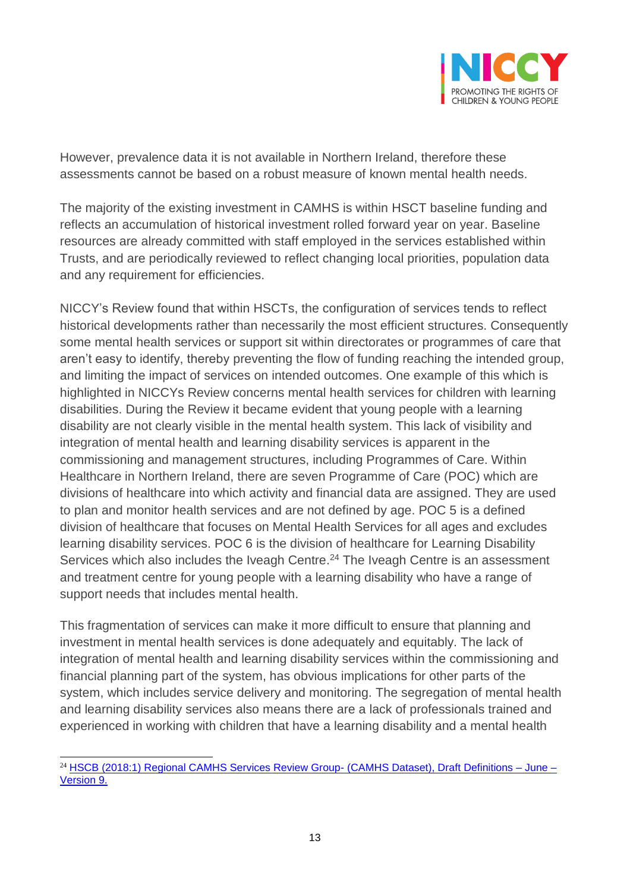

However, prevalence data it is not available in Northern Ireland, therefore these assessments cannot be based on a robust measure of known mental health needs.

The majority of the existing investment in CAMHS is within HSCT baseline funding and reflects an accumulation of historical investment rolled forward year on year. Baseline resources are already committed with staff employed in the services established within Trusts, and are periodically reviewed to reflect changing local priorities, population data and any requirement for efficiencies.

NICCY's Review found that within HSCTs, the configuration of services tends to reflect historical developments rather than necessarily the most efficient structures. Consequently some mental health services or support sit within directorates or programmes of care that aren't easy to identify, thereby preventing the flow of funding reaching the intended group, and limiting the impact of services on intended outcomes. One example of this which is highlighted in NICCYs Review concerns mental health services for children with learning disabilities. During the Review it became evident that young people with a learning disability are not clearly visible in the mental health system. This lack of visibility and integration of mental health and learning disability services is apparent in the commissioning and management structures, including Programmes of Care. Within Healthcare in Northern Ireland, there are seven Programme of Care (POC) which are divisions of healthcare into which activity and financial data are assigned. They are used to plan and monitor health services and are not defined by age. POC 5 is a defined division of healthcare that focuses on Mental Health Services for all ages and excludes learning disability services. POC 6 is the division of healthcare for Learning Disability Services which also includes the Iveagh Centre.<sup>24</sup> The Iveagh Centre is an assessment and treatment centre for young people with a learning disability who have a range of support needs that includes mental health.

This fragmentation of services can make it more difficult to ensure that planning and investment in mental health services is done adequately and equitably. The lack of integration of mental health and learning disability services within the commissioning and financial planning part of the system, has obvious implications for other parts of the system, which includes service delivery and monitoring. The segregation of mental health and learning disability services also means there are a lack of professionals trained and experienced in working with children that have a learning disability and a mental health

 $\overline{a}$ <sup>24</sup> [HSCB \(2018:1\) Regional CAMHS Services Review Group-](https://www.niccy.org/media/3112/camhs-definitions_final.pdf) (CAMHS Dataset), Draft Definitions - June -[Version 9.](https://www.niccy.org/media/3112/camhs-definitions_final.pdf)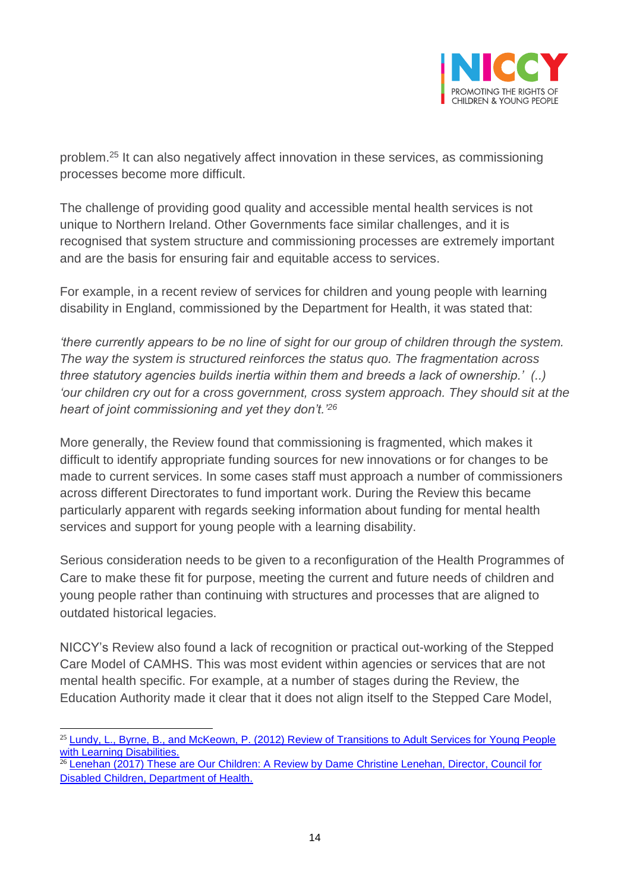

problem. <sup>25</sup> It can also negatively affect innovation in these services, as commissioning processes become more difficult.

The challenge of providing good quality and accessible mental health services is not unique to Northern Ireland. Other Governments face similar challenges, and it is recognised that system structure and commissioning processes are extremely important and are the basis for ensuring fair and equitable access to services.

For example, in a recent review of services for children and young people with learning disability in England, commissioned by the Department for Health, it was stated that:

*'there currently appears to be no line of sight for our group of children through the system. The way the system is structured reinforces the status quo. The fragmentation across three statutory agencies builds inertia within them and breeds a lack of ownership.' (..)*  'our children cry out for a cross government, cross system approach. They should sit at the *heart of joint commissioning and yet they don't.'<sup>26</sup>*

More generally, the Review found that commissioning is fragmented, which makes it difficult to identify appropriate funding sources for new innovations or for changes to be made to current services. In some cases staff must approach a number of commissioners across different Directorates to fund important work. During the Review this became particularly apparent with regards seeking information about funding for mental health services and support for young people with a learning disability.

Serious consideration needs to be given to a reconfiguration of the Health Programmes of Care to make these fit for purpose, meeting the current and future needs of children and young people rather than continuing with structures and processes that are aligned to outdated historical legacies.

NICCY's Review also found a lack of recognition or practical out-working of the Stepped Care Model of CAMHS. This was most evident within agencies or services that are not mental health specific. For example, at a number of stages during the Review, the Education Authority made it clear that it does not align itself to the Stepped Care Model,

 $\overline{a}$ <sup>25</sup> [Lundy, L., Byrne, B., and McKeown, P. \(2012\) Review of Transitions to Adult Services for Young People](https://www.niccy.org/publications/2012/september/13/review-of-transitions-to-adult-services/)  [with Learning Disabilities.](https://www.niccy.org/publications/2012/september/13/review-of-transitions-to-adult-services/)

 $26$  Lenehan (2017) These are Our Children: A Review by Dame Christine Lenehan, Director, Council for [Disabled Children, Department of Health.](https://www.gov.uk/government/publications/lenehan-review-into-care-of-children-with-learning-disabilities)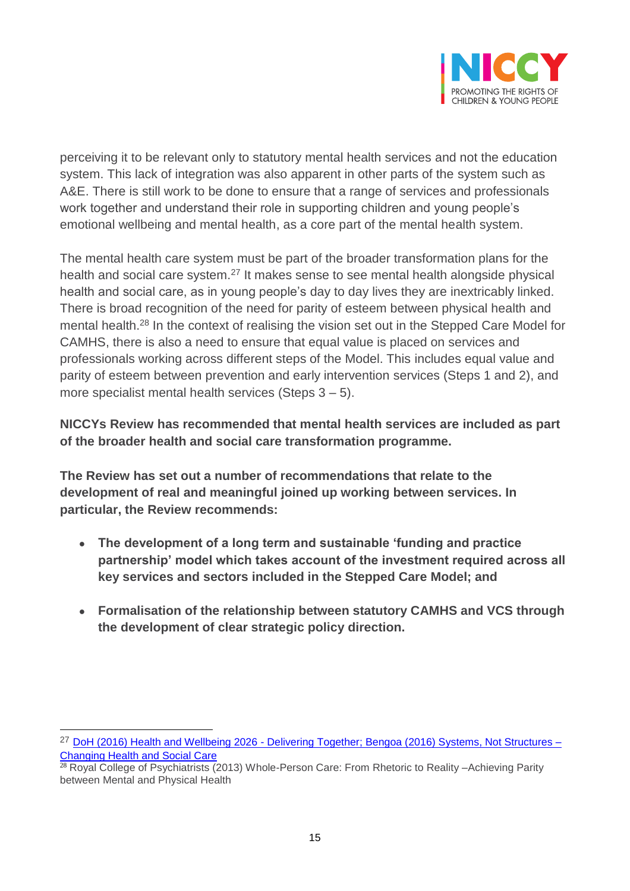

perceiving it to be relevant only to statutory mental health services and not the education system. This lack of integration was also apparent in other parts of the system such as A&E. There is still work to be done to ensure that a range of services and professionals work together and understand their role in supporting children and young people's emotional wellbeing and mental health, as a core part of the mental health system.

The mental health care system must be part of the broader transformation plans for the health and social care system.<sup>27</sup> It makes sense to see mental health alongside physical health and social care, as in young people's day to day lives they are inextricably linked. There is broad recognition of the need for parity of esteem between physical health and mental health.<sup>28</sup> In the context of realising the vision set out in the Stepped Care Model for CAMHS, there is also a need to ensure that equal value is placed on services and professionals working across different steps of the Model. This includes equal value and parity of esteem between prevention and early intervention services (Steps 1 and 2), and more specialist mental health services (Steps 3 – 5).

**NICCYs Review has recommended that mental health services are included as part of the broader health and social care transformation programme.** 

**The Review has set out a number of recommendations that relate to the development of real and meaningful joined up working between services. In particular, the Review recommends:**

- **The development of a long term and sustainable 'funding and practice partnership' model which takes account of the investment required across all key services and sectors included in the Stepped Care Model; and**
- **Formalisation of the relationship between statutory CAMHS and VCS through the development of clear strategic policy direction.**

<sup>27</sup> [DoH \(2016\) Health and Wellbeing 2026 -](https://www.health-ni.gov.uk/publications/health-and-wellbeing-2026-delivering-together) Delivering Together; [Bengoa \(2016\) Systems, Not Structures –](https://www.health-ni.gov.uk/publications/systems-not-structures-changing-health-and-social-care-full-report) [Changing Health and Social Care](https://www.health-ni.gov.uk/publications/systems-not-structures-changing-health-and-social-care-full-report)

<sup>&</sup>lt;sup>28</sup> Royal College of Psychiatrists (2013) Whole-Person Care: From Rhetoric to Reality –Achieving Parity between Mental and Physical Health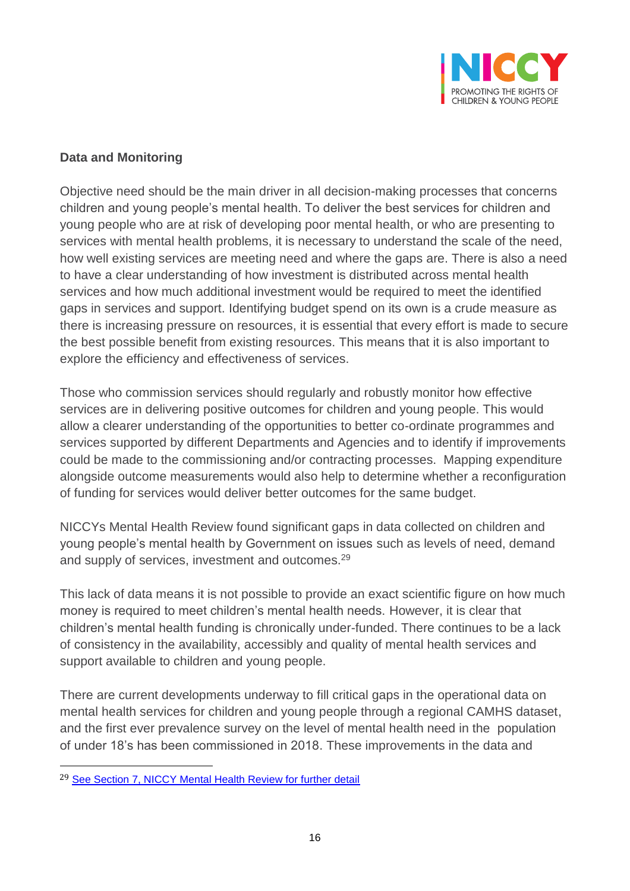

#### **Data and Monitoring**

Objective need should be the main driver in all decision-making processes that concerns children and young people's mental health. To deliver the best services for children and young people who are at risk of developing poor mental health, or who are presenting to services with mental health problems, it is necessary to understand the scale of the need, how well existing services are meeting need and where the gaps are. There is also a need to have a clear understanding of how investment is distributed across mental health services and how much additional investment would be required to meet the identified gaps in services and support. Identifying budget spend on its own is a crude measure as there is increasing pressure on resources, it is essential that every effort is made to secure the best possible benefit from existing resources. This means that it is also important to explore the efficiency and effectiveness of services.

Those who commission services should regularly and robustly monitor how effective services are in delivering positive outcomes for children and young people. This would allow a clearer understanding of the opportunities to better co-ordinate programmes and services supported by different Departments and Agencies and to identify if improvements could be made to the commissioning and/or contracting processes. Mapping expenditure alongside outcome measurements would also help to determine whether a reconfiguration of funding for services would deliver better outcomes for the same budget.

NICCYs Mental Health Review found significant gaps in data collected on children and young people's mental health by Government on issues such as levels of need, demand and supply of services, investment and outcomes.<sup>29</sup>

This lack of data means it is not possible to provide an exact scientific figure on how much money is required to meet children's mental health needs. However, it is clear that children's mental health funding is chronically under-funded. There continues to be a lack of consistency in the availability, accessibly and quality of mental health services and support available to children and young people.

There are current developments underway to fill critical gaps in the operational data on mental health services for children and young people through a regional CAMHS dataset, and the first ever prevalence survey on the level of mental health need in the population of under 18's has been commissioned in 2018. These improvements in the data and

<sup>29</sup> [See Section 7, NICCY Mental Health Review for further detail](https://www.niccy.org/StillWaiting)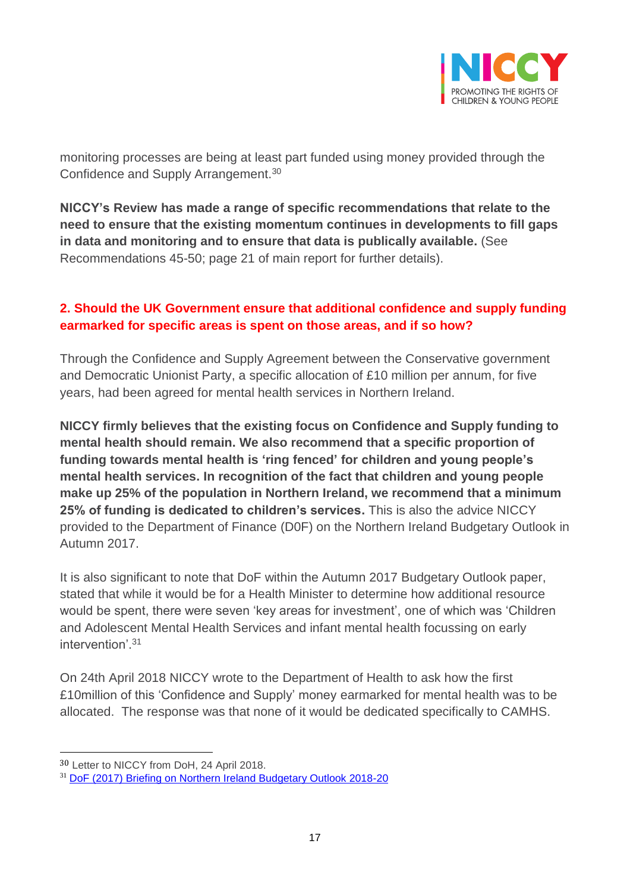

monitoring processes are being at least part funded using money provided through the Confidence and Supply Arrangement.<sup>30</sup>

**NICCY's Review has made a range of specific recommendations that relate to the need to ensure that the existing momentum continues in developments to fill gaps in data and monitoring and to ensure that data is publically available.** (See Recommendations 45-50; page 21 of main report for further details).

### **2. Should the UK Government ensure that additional confidence and supply funding earmarked for specific areas is spent on those areas, and if so how?**

Through the Confidence and Supply Agreement between the Conservative government and Democratic Unionist Party, a specific allocation of £10 million per annum, for five years, had been agreed for mental health services in Northern Ireland.

**NICCY firmly believes that the existing focus on Confidence and Supply funding to mental health should remain. We also recommend that a specific proportion of funding towards mental health is 'ring fenced' for children and young people's mental health services. In recognition of the fact that children and young people make up 25% of the population in Northern Ireland, we recommend that a minimum 25% of funding is dedicated to children's services.** This is also the advice NICCY provided to the Department of Finance (D0F) on the Northern Ireland Budgetary Outlook in Autumn 2017.

It is also significant to note that DoF within the Autumn 2017 Budgetary Outlook paper, stated that while it would be for a Health Minister to determine how additional resource would be spent, there were seven 'key areas for investment', one of which was 'Children and Adolescent Mental Health Services and infant mental health focussing on early intervention' 31

On 24th April 2018 NICCY wrote to the Department of Health to ask how the first £10million of this 'Confidence and Supply' money earmarked for mental health was to be allocated. The response was that none of it would be dedicated specifically to CAMHS.

<sup>30</sup> Letter to NICCY from DoH, 24 April 2018.

<sup>31</sup> [DoF \(2017\) Briefing on Northern Ireland Budgetary Outlook 2018-20](https://www.finance-ni.gov.uk/publications/briefing-northern-ireland-budgetary-outlook-2018-20)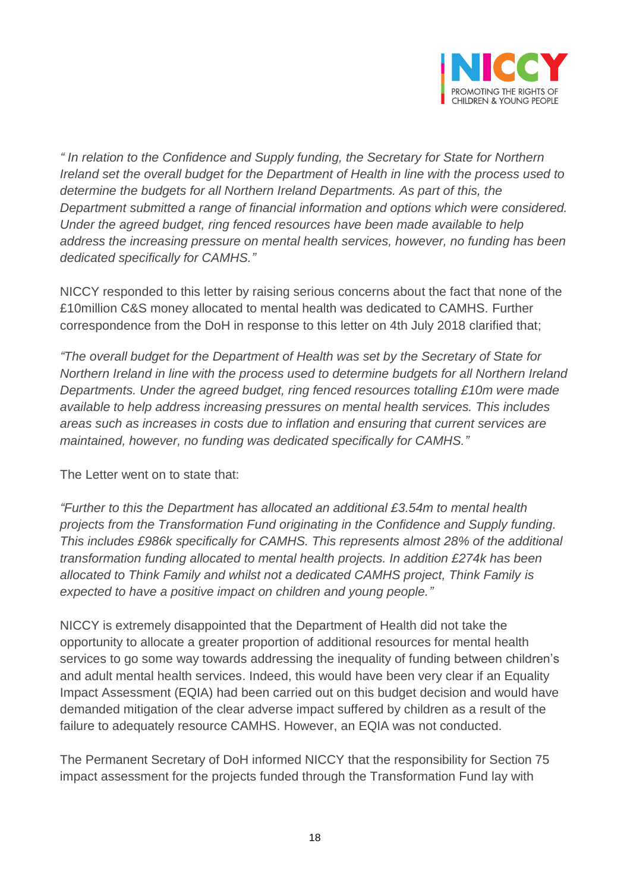

*" In relation to the Confidence and Supply funding, the Secretary for State for Northern Ireland set the overall budget for the Department of Health in line with the process used to determine the budgets for all Northern Ireland Departments. As part of this, the Department submitted a range of financial information and options which were considered. Under the agreed budget, ring fenced resources have been made available to help address the increasing pressure on mental health services, however, no funding has been dedicated specifically for CAMHS."*

NICCY responded to this letter by raising serious concerns about the fact that none of the £10million C&S money allocated to mental health was dedicated to CAMHS. Further correspondence from the DoH in response to this letter on 4th July 2018 clarified that;

*"The overall budget for the Department of Health was set by the Secretary of State for Northern Ireland in line with the process used to determine budgets for all Northern Ireland Departments. Under the agreed budget, ring fenced resources totalling £10m were made available to help address increasing pressures on mental health services. This includes areas such as increases in costs due to inflation and ensuring that current services are maintained, however, no funding was dedicated specifically for CAMHS."*

The Letter went on to state that:

*"Further to this the Department has allocated an additional £3.54m to mental health projects from the Transformation Fund originating in the Confidence and Supply funding. This includes £986k specifically for CAMHS. This represents almost 28% of the additional transformation funding allocated to mental health projects. In addition £274k has been allocated to Think Family and whilst not a dedicated CAMHS project, Think Family is expected to have a positive impact on children and young people."*

NICCY is extremely disappointed that the Department of Health did not take the opportunity to allocate a greater proportion of additional resources for mental health services to go some way towards addressing the inequality of funding between children's and adult mental health services. Indeed, this would have been very clear if an Equality Impact Assessment (EQIA) had been carried out on this budget decision and would have demanded mitigation of the clear adverse impact suffered by children as a result of the failure to adequately resource CAMHS. However, an EQIA was not conducted.

The Permanent Secretary of DoH informed NICCY that the responsibility for Section 75 impact assessment for the projects funded through the Transformation Fund lay with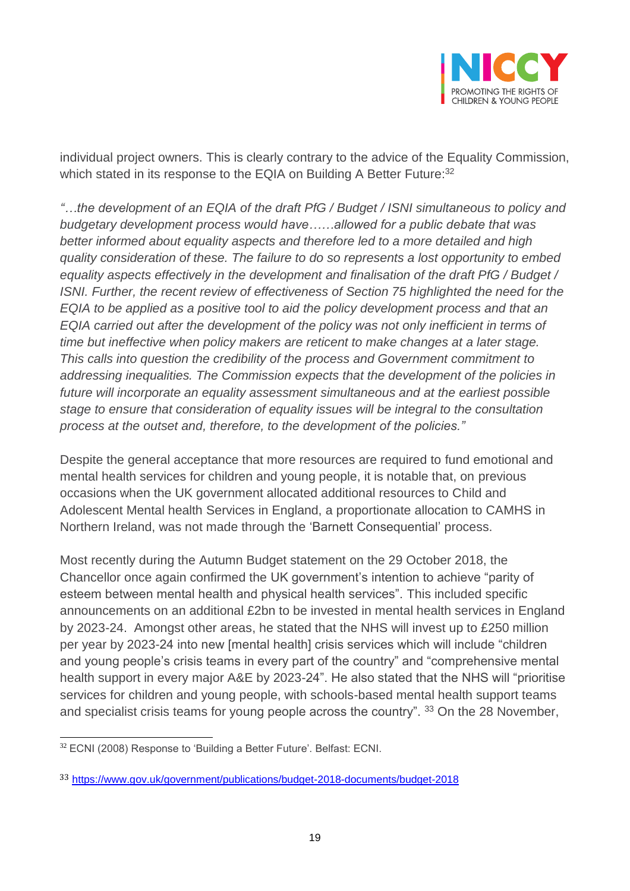

individual project owners. This is clearly contrary to the advice of the Equality Commission, which stated in its response to the EQIA on Building A Better Future:<sup>32</sup>

*"…the development of an EQIA of the draft PfG / Budget / ISNI simultaneous to policy and budgetary development process would have……allowed for a public debate that was better informed about equality aspects and therefore led to a more detailed and high quality consideration of these. The failure to do so represents a lost opportunity to embed equality aspects effectively in the development and finalisation of the draft PfG / Budget / ISNI. Further, the recent review of effectiveness of Section 75 highlighted the need for the EQIA to be applied as a positive tool to aid the policy development process and that an EQIA carried out after the development of the policy was not only inefficient in terms of time but ineffective when policy makers are reticent to make changes at a later stage. This calls into question the credibility of the process and Government commitment to addressing inequalities. The Commission expects that the development of the policies in future will incorporate an equality assessment simultaneous and at the earliest possible stage to ensure that consideration of equality issues will be integral to the consultation process at the outset and, therefore, to the development of the policies."*

Despite the general acceptance that more resources are required to fund emotional and mental health services for children and young people, it is notable that, on previous occasions when the UK government allocated additional resources to Child and Adolescent Mental health Services in England, a proportionate allocation to CAMHS in Northern Ireland, was not made through the 'Barnett Consequential' process.

Most recently during the Autumn Budget statement on the 29 October 2018, the Chancellor once again confirmed the UK government's intention to achieve "parity of esteem between mental health and physical health services". This included specific announcements on an additional £2bn to be invested in mental health services in England by 2023-24. Amongst other areas, he stated that the NHS will invest up to £250 million per year by 2023-24 into new [mental health] crisis services which will include "children and young people's crisis teams in every part of the country" and "comprehensive mental health support in every major A&E by 2023-24". He also stated that the NHS will "prioritise services for children and young people, with schools-based mental health support teams and specialist crisis teams for young people across the country". 33 On the 28 November,

 $\overline{a}$ <sup>32</sup> ECNI (2008) Response to 'Building a Better Future'. Belfast: ECNI.

<sup>33</sup> <https://www.gov.uk/government/publications/budget-2018-documents/budget-2018>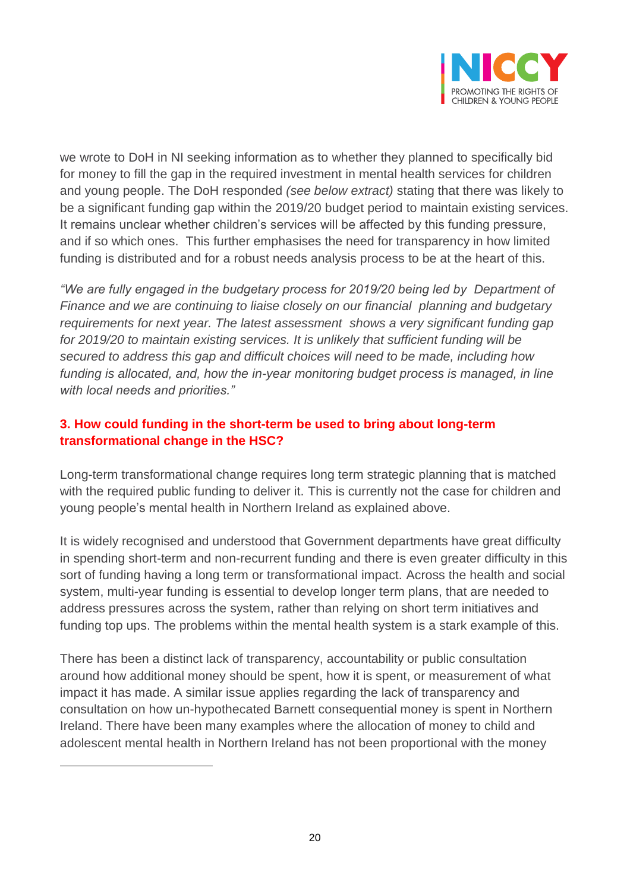

we wrote to DoH in NI seeking information as to whether they planned to specifically bid for money to fill the gap in the required investment in mental health services for children and young people. The DoH responded *(see below extract)* stating that there was likely to be a significant funding gap within the 2019/20 budget period to maintain existing services. It remains unclear whether children's services will be affected by this funding pressure, and if so which ones. This further emphasises the need for transparency in how limited funding is distributed and for a robust needs analysis process to be at the heart of this.

*"We are fully engaged in the budgetary process for 2019/20 being led by Department of Finance and we are continuing to liaise closely on our financial planning and budgetary requirements for next year. The latest assessment shows a very significant funding gap for 2019/20 to maintain existing services. It is unlikely that sufficient funding will be secured to address this gap and difficult choices will need to be made, including how funding is allocated, and, how the in-year monitoring budget process is managed, in line with local needs and priorities."*

### **3. How could funding in the short-term be used to bring about long-term transformational change in the HSC?**

Long-term transformational change requires long term strategic planning that is matched with the required public funding to deliver it. This is currently not the case for children and young people's mental health in Northern Ireland as explained above.

It is widely recognised and understood that Government departments have great difficulty in spending short-term and non-recurrent funding and there is even greater difficulty in this sort of funding having a long term or transformational impact. Across the health and social system, multi-year funding is essential to develop longer term plans, that are needed to address pressures across the system, rather than relying on short term initiatives and funding top ups. The problems within the mental health system is a stark example of this.

There has been a distinct lack of transparency, accountability or public consultation around how additional money should be spent, how it is spent, or measurement of what impact it has made. A similar issue applies regarding the lack of transparency and consultation on how un-hypothecated Barnett consequential money is spent in Northern Ireland. There have been many examples where the allocation of money to child and adolescent mental health in Northern Ireland has not been proportional with the money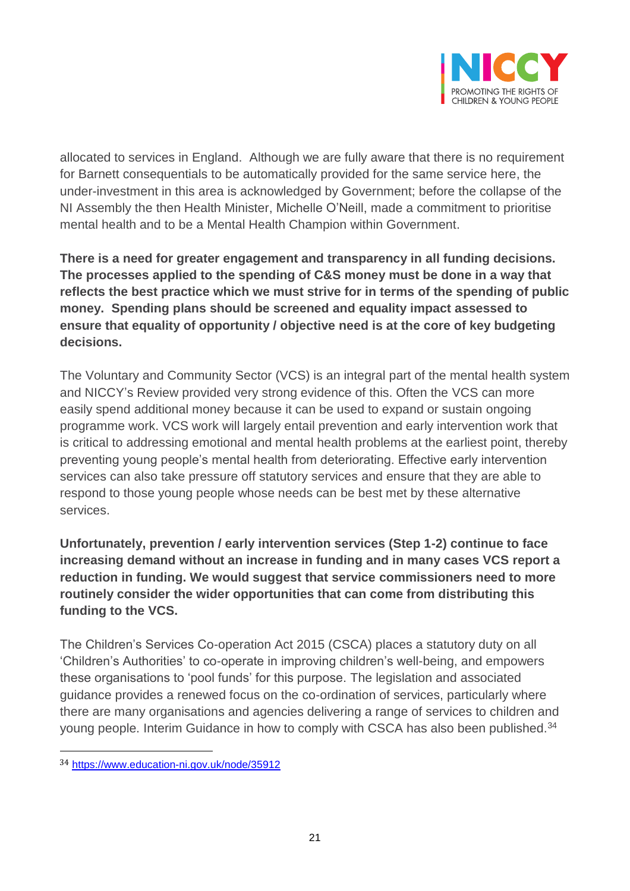

allocated to services in England. Although we are fully aware that there is no requirement for Barnett consequentials to be automatically provided for the same service here, the under-investment in this area is acknowledged by Government; before the collapse of the NI Assembly the then Health Minister, Michelle O'Neill, made a commitment to prioritise mental health and to be a Mental Health Champion within Government.

**There is a need for greater engagement and transparency in all funding decisions. The processes applied to the spending of C&S money must be done in a way that reflects the best practice which we must strive for in terms of the spending of public money. Spending plans should be screened and equality impact assessed to ensure that equality of opportunity / objective need is at the core of key budgeting decisions.** 

The Voluntary and Community Sector (VCS) is an integral part of the mental health system and NICCY's Review provided very strong evidence of this. Often the VCS can more easily spend additional money because it can be used to expand or sustain ongoing programme work. VCS work will largely entail prevention and early intervention work that is critical to addressing emotional and mental health problems at the earliest point, thereby preventing young people's mental health from deteriorating. Effective early intervention services can also take pressure off statutory services and ensure that they are able to respond to those young people whose needs can be best met by these alternative services.

**Unfortunately, prevention / early intervention services (Step 1-2) continue to face increasing demand without an increase in funding and in many cases VCS report a reduction in funding. We would suggest that service commissioners need to more routinely consider the wider opportunities that can come from distributing this funding to the VCS.**

The Children's Services Co-operation Act 2015 (CSCA) places a statutory duty on all 'Children's Authorities' to co-operate in improving children's well-being, and empowers these organisations to 'pool funds' for this purpose. The legislation and associated guidance provides a renewed focus on the co-ordination of services, particularly where there are many organisations and agencies delivering a range of services to children and young people. Interim Guidance in how to comply with CSCA has also been published.<sup>34</sup>

<sup>34</sup> <https://www.education-ni.gov.uk/node/35912>